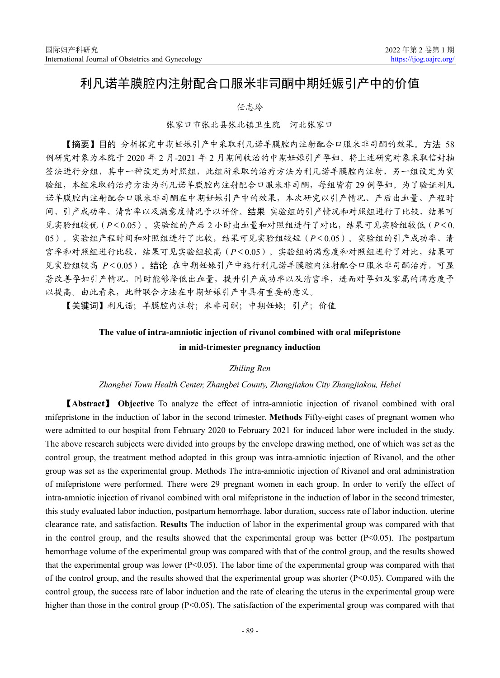# 利凡诺羊膜腔内注射配合口服米非司酮中期妊娠引产中的价值

任志玲

张家口市张北县张北镇卫生院 河北张家口

【摘要】目的 分析探究中期妊娠引产中采取利凡诺羊膜腔内注射配合口服米非司酮的效果。方法 58 例研究对象为本院于 2020 年 2 月-2021 年 2 月期间收治的中期妊娠引产孕妇。将上述研究对象采取信封抽 签法进行分组,其中一种设定为对照组,此组所采取的治疗方法为利凡诺羊膜腔内注射,另一组设定为实 验组,本组采取的治疗方法为利凡诺羊膜腔内注射配合口服米非司酮,每组皆有 29 例孕妇。为了验证利凡 诺羊膜腔内注射配合口服米非司酮在中期妊娠引产中的效果,本次研究以引产情况、产后出血量、产程时 间、引产成功率、清宫率以及满意度情况予以评价。结果 实验组的引产情况和对照组进行了比较,结果可 见实验组较优(*P*<0.05)。实验组的产后 2 小时出血量和对照组进行了对比,结果可见实验组较低(*P*<0. 05)。实验组产程时间和对照组进行了比较,结果可见实验组较短(*P*<0.05)。实验组的引产成功率、清 宫率和对照组进行比较,结果可见实验组较高(*P*<0.05)。实验组的满意度和对照组进行了对比,结果可 见实验组较高 *P*<0.05)。结论 在中期妊娠引产中施行利凡诺羊膜腔内注射配合口服米非司酮治疗,可显 著改善孕妇引产情况,同时能够降低出血量,提升引产成功率以及清宫率,进而对孕妇及家属的满意度予 以提高。由此看来,此种联合方法在中期妊娠引产中具有重要的意义。

【关键词】利凡诺;羊膜腔内注射;米非司酮;中期妊娠;引产;价值

## **The value of intra-amniotic injection of rivanol combined with oral mifepristone in mid-trimester pregnancy induction**

## *Zhiling Ren*

### *Zhangbei Town Health Center, Zhangbei County, Zhangjiakou City Zhangjiakou, Hebei*

【**Abstract**】 **Objective** To analyze the effect of intra-amniotic injection of rivanol combined with oral mifepristone in the induction of labor in the second trimester. **Methods** Fifty-eight cases of pregnant women who were admitted to our hospital from February 2020 to February 2021 for induced labor were included in the study. The above research subjects were divided into groups by the envelope drawing method, one of which was set as the control group, the treatment method adopted in this group was intra-amniotic injection of Rivanol, and the other group was set as the experimental group. Methods The intra-amniotic injection of Rivanol and oral administration of mifepristone were performed. There were 29 pregnant women in each group. In order to verify the effect of intra-amniotic injection of rivanol combined with oral mifepristone in the induction of labor in the second trimester, this study evaluated labor induction, postpartum hemorrhage, labor duration, success rate of labor induction, uterine clearance rate, and satisfaction. **Results** The induction of labor in the experimental group was compared with that in the control group, and the results showed that the experimental group was better  $(P<0.05)$ . The postpartum hemorrhage volume of the experimental group was compared with that of the control group, and the results showed that the experimental group was lower  $(P<0.05)$ . The labor time of the experimental group was compared with that of the control group, and the results showed that the experimental group was shorter  $(P<0.05)$ . Compared with the control group, the success rate of labor induction and the rate of clearing the uterus in the experimental group were higher than those in the control group  $(P<0.05)$ . The satisfaction of the experimental group was compared with that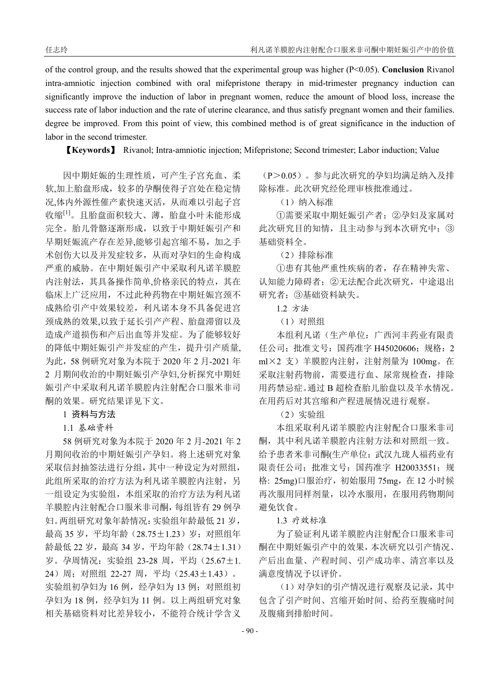of the control group, and the results showed that the experimental group was higher (P<0.05). **Conclusion** Rivanol intra-amniotic injection combined with oral mifepristone therapy in mid-trimester pregnancy induction can significantly improve the induction of labor in pregnant women, reduce the amount of blood loss, increase the success rate of labor induction and the rate of uterine clearance, and thus satisfy pregnant women and their families. degree be improved. From this point of view, this combined method is of great significance in the induction of labor in the second trimester.

【**Keywords**】 Rivanol; Intra-amniotic injection; Mifepristone; Second trimester; Labor induction; Value

因中期妊娠的生理性质,可产生子宫充血、柔 软,加上胎盘形成,较多的孕酮使得子宫处在稳定情 况,体内外源性催产素快速灭活,从而难以引起子宫 收缩[1]。且胎盘面积较大、薄,胎盘小叶未能形成 完全。胎儿骨骼逐渐形成,以致于中期妊娠引产和 早期妊娠流产存在差异,能够引起宫缩不易,加之手 术创伤大以及并发症较多,从而对孕妇的生命构成 严重的威胁。在中期妊娠引产中采取利凡诺羊膜腔 内注射法,其具备操作简单,价格亲民的特点,其在 临床上广泛应用,不过此种药物在中期妊娠宫颈不 成熟给引产中效果较差,利凡诺本身不具备促进宫 颈成熟的效果,以致于延长引产产程、胎盘滞留以及 造成产道损伤和产后出血等并发症。为了能够较好 的降低中期妊娠引产并发症的产生,提升引产质量, 为此,58 例研究对象为本院于 2020 年 2 月-2021 年 2 月期间收治的中期妊娠引产孕妇,分析探究中期妊 娠引产中采取利凡诺羊膜腔内注射配合口服米非司 酮的效果。研究结果详见下文。

## 1 资料与方法

1.1 基础资料

58 例研究对象为本院于 2020 年 2 月-2021 年 2 月期间收治的中期妊娠引产孕妇。将上述研究对象 采取信封抽签法进行分组,其中一种设定为对照组, 此组所采取的治疗方法为利凡诺羊膜腔内注射,另 一组设定为实验组,本组采取的治疗方法为利凡诺 羊膜腔内注射配合口服米非司酮,每组皆有 29 例孕 妇。两组研究对象年龄情况:实验组年龄最低 21 岁, 最高 35 岁,平均年龄(28.75±1.23)岁;对照组年 龄最低 22 岁,最高 34 岁,平均年龄(28.74±1.31) 岁。孕周情况:实验组 23-28 周,平均(25.67±1. 24)周;对照组 22-27 周,平均(25.43±1.43)。 实验组初孕妇为 16 例, 经孕妇为 13 例; 对照组初 孕妇为 18 例,经孕妇为 11 例。以上两组研究对象 相关基础资料对比差异较小,不能符合统计学含义

(P>0.05)。参与此次研究的孕妇均满足纳入及排 除标准。此次研究经伦理审核批准通过。

(1) 纳入标准

①需要采取中期妊娠引产者;②孕妇及家属对 此次研究目的知情,且主动参与到本次研究中;③ 基础资料全。

(2)排除标准

①患有其他严重性疾病的者,存在精神失常、 认知能力障碍者;②无法配合此次研究,中途退出 研究者;③基础资料缺失。

1.2 方法

(1)对照组

本组利凡诺(生产单位:广西河丰药业有限责 任公司;批准文号:国药准字 H45020606;规格:2 ml×2 支)羊膜腔内注射,注射剂量为 100mg。在 采取注射药物前,需要进行血、尿常规检查,排除 用药禁忌症。通过 B 超检查胎儿胎盘以及羊水情况。 在用药后对其宫缩和产程进展情况进行观察。

(2)实验组

本组采取利凡诺羊膜腔内注射配合口服米非司 酮,其中利凡诺羊膜腔内注射方法和对照组一致。 给予患者米非司酮(生产单位:武汉九珑人福药业有 限责任公司; 批准文号: 国药准字 H20033551; 规 格: 25mg)口服治疗,初始服用 75mg,在 12 小时候 再次服用同样剂量,以冷水服用,在服用药物期间 避免饮食。

1.3 疗效标准

为了验证利凡诺羊膜腔内注射配合口服米非司 酮在中期妊娠引产中的效果,本次研究以引产情况、 产后出血量、产程时间、引产成功率、清宫率以及 满意度情况予以评价。

(1)对孕妇的引产情况进行观察及记录,其中 包含了引产时间、宫缩开始时间、给药至腹痛时间 及腹痛到排胎时间。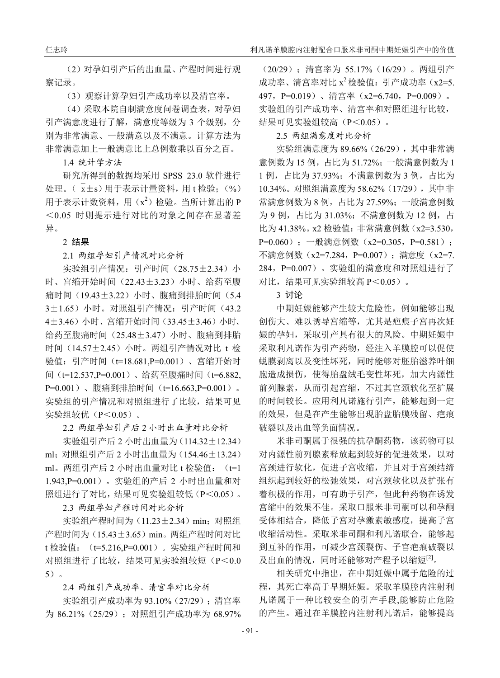(2)对孕妇引产后的出血量、产程时间进行观 察记录。

(3)观察计算孕妇引产成功率以及清宫率。

(4)采取本院自制满意度问卷调查表,对孕妇 引产满意度进行了解,满意度等级为 3 个级别, 分 别为非常满意、一般满意以及不满意。计算方法为 非常满意加上一般满意比上总例数乘以百分之百。

1.4 统计学方法

研究所得到的数据均采用 SPSS 23.0 软件进行 处理。( $\bar{x}$ ±s)用于表示计量资料,用t检验;(%) 用于表示计数资料, 用 $(x^2)$ 检验。当所计算出的 P <0.05 时则提示进行对比的对象之间存在显著差 异。

#### 2 结果

2.1 两组孕妇引产情况对比分析

实验组引产情况: 引产时间 (28.75+2.34) 小 时、宫缩开始时间(22.43±3.23)小时、给药至腹 痛时间(19.43±3.22)小时、腹痛到排胎时间(5.4 3±1.65)小时。对照组引产情况:引产时间(43.2 4±3.46) 小时、宫缩开始时间(33.45±3.46) 小时、 给药至腹痛时间(25.48±3.47)小时、腹痛到排胎 时间(14.57±2.45)小时。两组引产情况对比 t 检 验值:引产时间(t=18.681,P=0.001)、宫缩开始时 间(t=12.537.P=0.001)、给药至腹痛时间(t=6.882, P=0.001)、腹痛到排胎时间(t=16.663,P=0.001)。 实验组的引产情况和对照组进行了比较,结果可见 实验组较优(P<0.05)。

2.2 两组孕妇引产后 2 小时出血量对比分析

实验组引产后 2 小时出血量为(114.32±12.34) ml;对照组引产后 2 小时出血量为(154.46±13.24) ml。两组引产后 2 小时出血量对比 t 检验值: (t=1 1.943,P=0.001)。实验组的产后 2 小时出血量和对 照组进行了对比,结果可见实验组较低(P<0.05)。

2.3 两组孕妇产程时间对比分析

实验组产程时间为 (11.23±2.34) min; 对照组 产程时间为(15.43±3.65)min。两组产程时间对比 t 检验值:(t=5.216,P=0.001)。实验组产程时间和 对照组进行了比较,结果可见实验组较短(P<0.0 5)。

2.4 两组引产成功率、清宫率对比分析

实验组引产成功率为 93.10%(27/29);清宫率 为 86.21% (25/29); 对照组引产成功率为 68.97%

(20/29);清宫率为 55.17%(16/29)。两组引产 成功率、清宫率对比 $x^2$ 检验值: 引产成功率(x2=5. 497, P=0.019)、清宫率(x2=6.740, P=0.009)。 实验组的引产成功率、清宫率和对照组进行比较, 结果可见实验组较高(P<0.05)。

## 2.5 两组满意度对比分析

实验组满意度为 89.66%(26/29),其中非常满 意例数为 15 例,占比为 51.72%;一般满意例数为 1 1 例,占比为 37.93%;不满意例数为 3 例,占比为 10.34%。对照组满意度为 58.62%(17/29),其中非 常满意例数为 8 例, 占比为 27.59%; 一般满意例数 为 9 例, 占比为 31.03%; 不满意例数为 12 例, 占 比为 41.38%。x2 检验值: 非常满意例数 (x2=3.530, P=0.060): 一般满意例数 (x2=0.305, P=0.581): 不满意例数 (x2=7.284, P=0.007); 满意度 (x2=7. 284,P=0.007)。实验组的满意度和对照组进行了 对比,结果可见实验组较高 P<0.05)。

### 3 讨论

中期妊娠能够产生较大危险性,例如能够出现 创伤大、难以诱导宫缩等,尤其是疤痕子宫再次妊 娠的孕妇,采取引产具有很大的风险。中期妊娠中 采取利凡诺作为引产药物,经注入羊膜腔可以促使 蜕膜剥离以及变性坏死,同时能够对胚胎滋养叶细 胞造成损伤,使得胎盘绒毛变性坏死,加大内源性 前列腺素,从而引起宫缩,不过其宫颈软化至扩展 的时间较长。应用利凡诺施行引产,能够起到一定 的效果,但是在产生能够出现胎盘胎膜残留、疤痕 破裂以及出血等负面情况。

米非司酮属于很强的抗孕酮药物,该药物可以 对内源性前列腺素释放起到较好的促进效果,以对 宫颈进行软化,促进子宫收缩,并且对于宫颈结缔 组织起到较好的松弛效果,对宫颈软化以及扩张有 着积极的作用,可有助于引产,但此种药物在诱发 宫缩中的效果不佳。采取口服米非司酮可以和孕酮 受体相结合,降低子宫对孕激素敏感度,提高子宫 收缩活动性。采取米非司酮和利凡诺联合,能够起 到互补的作用,可减少宫颈裂伤、子宫疤痕破裂以 及出血的情况,同时还能够对产程予以缩短<sup>[2]</sup>。

相关研究中指出,在中期妊娠中属于危险的过 程,其死亡率高于早期妊娠。采取羊膜腔内注射利 凡诺属于一种比较安全的引产手段,能够防止危险 的产生。通过在羊膜腔内注射利凡诺后,能够提高